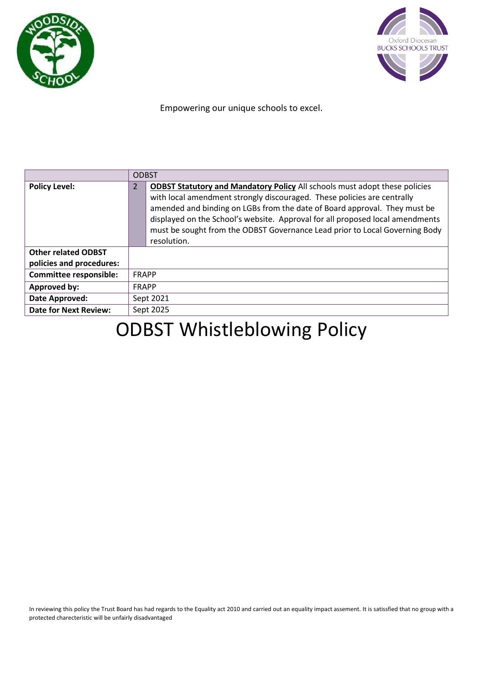



Empowering our unique schools to excel.

|                                                        | <b>ODBST</b>                                                                                                                                                                                                                                                                                                                                                                                                                               |  |
|--------------------------------------------------------|--------------------------------------------------------------------------------------------------------------------------------------------------------------------------------------------------------------------------------------------------------------------------------------------------------------------------------------------------------------------------------------------------------------------------------------------|--|
| <b>Policy Level:</b>                                   | <b>ODBST Statutory and Mandatory Policy All schools must adopt these policies</b><br>$\overline{2}$<br>with local amendment strongly discouraged. These policies are centrally<br>amended and binding on LGBs from the date of Board approval. They must be<br>displayed on the School's website. Approval for all proposed local amendments<br>must be sought from the ODBST Governance Lead prior to Local Governing Body<br>resolution. |  |
| <b>Other related ODBST</b><br>policies and procedures: |                                                                                                                                                                                                                                                                                                                                                                                                                                            |  |
| <b>Committee responsible:</b>                          | FRAPP                                                                                                                                                                                                                                                                                                                                                                                                                                      |  |
|                                                        |                                                                                                                                                                                                                                                                                                                                                                                                                                            |  |
| Approved by:                                           | <b>FRAPP</b>                                                                                                                                                                                                                                                                                                                                                                                                                               |  |
| Date Approved:                                         | Sept 2021                                                                                                                                                                                                                                                                                                                                                                                                                                  |  |
| <b>Date for Next Review:</b>                           | Sept 2025                                                                                                                                                                                                                                                                                                                                                                                                                                  |  |

# ODBST Whistleblowing Policy

In reviewing this policy the Trust Board has had regards to the Equality act 2010 and carried out an equality impact assement. It is satissfied that no group with a protected charecteristic will be unfairly disadvantaged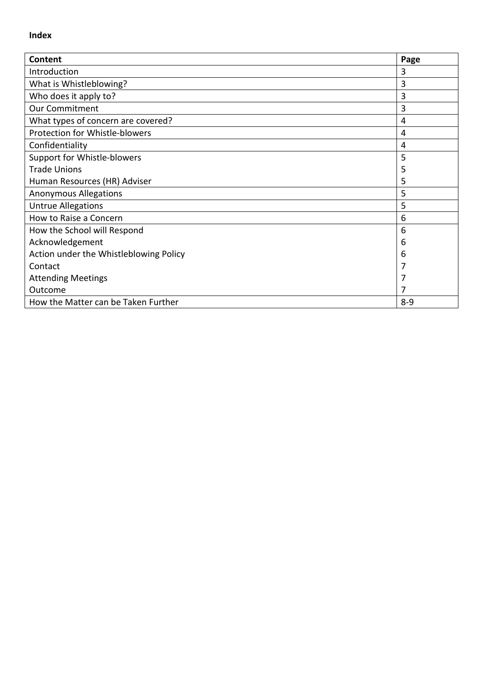#### **Index**

| Content                                | Page |
|----------------------------------------|------|
| Introduction                           | 3    |
| What is Whistleblowing?                | 3    |
| Who does it apply to?                  | 3    |
| <b>Our Commitment</b>                  | 3    |
| What types of concern are covered?     | 4    |
| Protection for Whistle-blowers         | 4    |
| Confidentiality                        | 4    |
| Support for Whistle-blowers            | 5    |
| <b>Trade Unions</b>                    | 5    |
| Human Resources (HR) Adviser           | 5    |
| <b>Anonymous Allegations</b>           | 5    |
| <b>Untrue Allegations</b>              | 5    |
| How to Raise a Concern                 | 6    |
| How the School will Respond            | 6    |
| Acknowledgement                        | 6    |
| Action under the Whistleblowing Policy | 6    |
| Contact                                |      |
| <b>Attending Meetings</b>              |      |
| Outcome                                |      |
| How the Matter can be Taken Further    |      |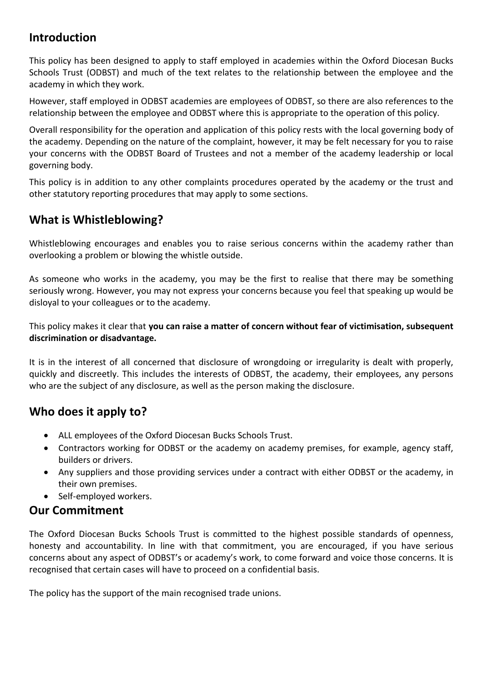# **Introduction**

This policy has been designed to apply to staff employed in academies within the Oxford Diocesan Bucks Schools Trust (ODBST) and much of the text relates to the relationship between the employee and the academy in which they work.

However, staff employed in ODBST academies are employees of ODBST, so there are also references to the relationship between the employee and ODBST where this is appropriate to the operation of this policy.

Overall responsibility for the operation and application of this policy rests with the local governing body of the academy. Depending on the nature of the complaint, however, it may be felt necessary for you to raise your concerns with the ODBST Board of Trustees and not a member of the academy leadership or local governing body.

This policy is in addition to any other complaints procedures operated by the academy or the trust and other statutory reporting procedures that may apply to some sections.

# **What is Whistleblowing?**

Whistleblowing encourages and enables you to raise serious concerns within the academy rather than overlooking a problem or blowing the whistle outside.

As someone who works in the academy, you may be the first to realise that there may be something seriously wrong. However, you may not express your concerns because you feel that speaking up would be disloyal to your colleagues or to the academy.

This policy makes it clear that **you can raise a matter of concern without fear of victimisation, subsequent discrimination or disadvantage.** 

It is in the interest of all concerned that disclosure of wrongdoing or irregularity is dealt with properly, quickly and discreetly. This includes the interests of ODBST, the academy, their employees, any persons who are the subject of any disclosure, as well as the person making the disclosure.

# **Who does it apply to?**

- ALL employees of the Oxford Diocesan Bucks Schools Trust.
- Contractors working for ODBST or the academy on academy premises, for example, agency staff, builders or drivers.
- Any suppliers and those providing services under a contract with either ODBST or the academy, in their own premises.
- Self-employed workers.

## **Our Commitment**

The Oxford Diocesan Bucks Schools Trust is committed to the highest possible standards of openness, honesty and accountability. In line with that commitment, you are encouraged, if you have serious concerns about any aspect of ODBST's or academy's work, to come forward and voice those concerns. It is recognised that certain cases will have to proceed on a confidential basis.

The policy has the support of the main recognised trade unions.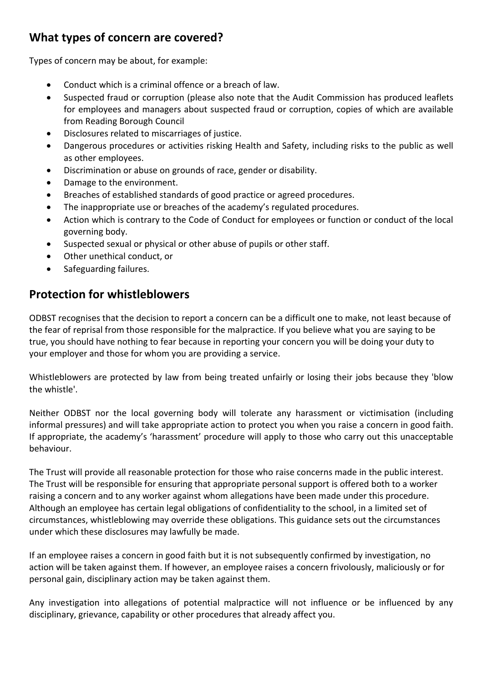# **What types of concern are covered?**

Types of concern may be about, for example:

- Conduct which is a criminal offence or a breach of law.
- Suspected fraud or corruption (please also note that the Audit Commission has produced leaflets for employees and managers about suspected fraud or corruption, copies of which are available from Reading Borough Council
- Disclosures related to miscarriages of justice.
- Dangerous procedures or activities risking Health and Safety, including risks to the public as well as other employees.
- Discrimination or abuse on grounds of race, gender or disability.
- Damage to the environment.
- Breaches of established standards of good practice or agreed procedures.
- The inappropriate use or breaches of the academy's regulated procedures.
- Action which is contrary to the Code of Conduct for employees or function or conduct of the local governing body.
- Suspected sexual or physical or other abuse of pupils or other staff.
- Other unethical conduct, or
- Safeguarding failures.

## **Protection for whistleblowers**

ODBST recognises that the decision to report a concern can be a difficult one to make, not least because of the fear of reprisal from those responsible for the malpractice. If you believe what you are saying to be true, you should have nothing to fear because in reporting your concern you will be doing your duty to your employer and those for whom you are providing a service.

Whistleblowers are protected by law from being treated unfairly or losing their jobs because they 'blow the whistle'.

Neither ODBST nor the local governing body will tolerate any harassment or victimisation (including informal pressures) and will take appropriate action to protect you when you raise a concern in good faith. If appropriate, the academy's 'harassment' procedure will apply to those who carry out this unacceptable behaviour.

The Trust will provide all reasonable protection for those who raise concerns made in the public interest. The Trust will be responsible for ensuring that appropriate personal support is offered both to a worker raising a concern and to any worker against whom allegations have been made under this procedure. Although an employee has certain legal obligations of confidentiality to the school, in a limited set of circumstances, whistleblowing may override these obligations. This guidance sets out the circumstances under which these disclosures may lawfully be made.

If an employee raises a concern in good faith but it is not subsequently confirmed by investigation, no action will be taken against them. If however, an employee raises a concern frivolously, maliciously or for personal gain, disciplinary action may be taken against them.

Any investigation into allegations of potential malpractice will not influence or be influenced by any disciplinary, grievance, capability or other procedures that already affect you.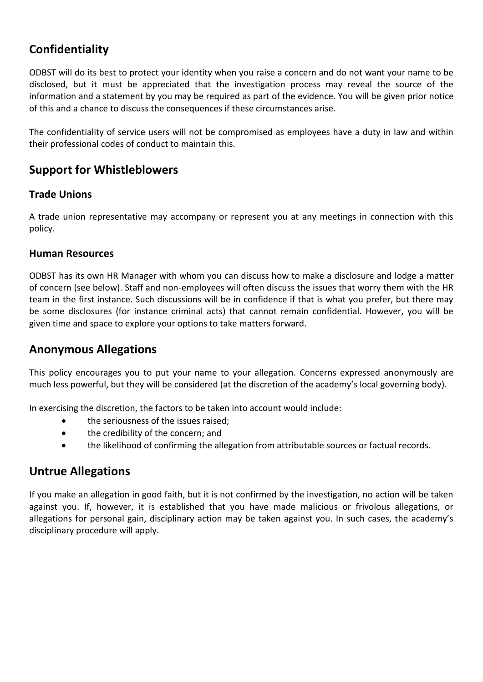# **Confidentiality**

ODBST will do its best to protect your identity when you raise a concern and do not want your name to be disclosed, but it must be appreciated that the investigation process may reveal the source of the information and a statement by you may be required as part of the evidence. You will be given prior notice of this and a chance to discuss the consequences if these circumstances arise.

The confidentiality of service users will not be compromised as employees have a duty in law and within their professional codes of conduct to maintain this.

# **Support for Whistleblowers**

## **Trade Unions**

A trade union representative may accompany or represent you at any meetings in connection with this policy.

#### **Human Resources**

ODBST has its own HR Manager with whom you can discuss how to make a disclosure and lodge a matter of concern (see below). Staff and non-employees will often discuss the issues that worry them with the HR team in the first instance. Such discussions will be in confidence if that is what you prefer, but there may be some disclosures (for instance criminal acts) that cannot remain confidential. However, you will be given time and space to explore your options to take matters forward.

## **Anonymous Allegations**

This policy encourages you to put your name to your allegation. Concerns expressed anonymously are much less powerful, but they will be considered (at the discretion of the academy's local governing body).

In exercising the discretion, the factors to be taken into account would include:

- the seriousness of the issues raised;
- the credibility of the concern; and
- the likelihood of confirming the allegation from attributable sources or factual records.

## **Untrue Allegations**

If you make an allegation in good faith, but it is not confirmed by the investigation, no action will be taken against you. If, however, it is established that you have made malicious or frivolous allegations, or allegations for personal gain, disciplinary action may be taken against you. In such cases, the academy's disciplinary procedure will apply.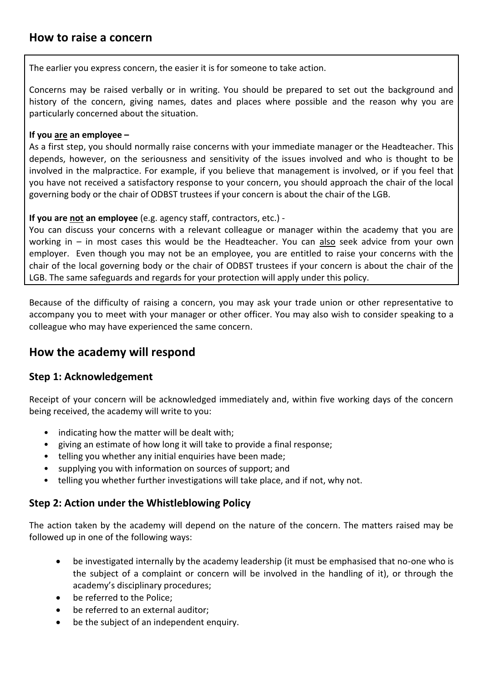The earlier you express concern, the easier it is for someone to take action.

Concerns may be raised verbally or in writing. You should be prepared to set out the background and history of the concern, giving names, dates and places where possible and the reason why you are particularly concerned about the situation.

#### **If you are an employee –**

As a first step, you should normally raise concerns with your immediate manager or the Headteacher. This depends, however, on the seriousness and sensitivity of the issues involved and who is thought to be involved in the malpractice. For example, if you believe that management is involved, or if you feel that you have not received a satisfactory response to your concern, you should approach the chair of the local governing body or the chair of ODBST trustees if your concern is about the chair of the LGB.

#### **If you are not an employee** (e.g. agency staff, contractors, etc.) -

You can discuss your concerns with a relevant colleague or manager within the academy that you are working in – in most cases this would be the Headteacher. You can also seek advice from your own employer. Even though you may not be an employee, you are entitled to raise your concerns with the chair of the local governing body or the chair of ODBST trustees if your concern is about the chair of the LGB. The same safeguards and regards for your protection will apply under this policy.

Because of the difficulty of raising a concern, you may ask your trade union or other representative to accompany you to meet with your manager or other officer. You may also wish to consider speaking to a colleague who may have experienced the same concern.

## **How the academy will respond**

#### **Step 1: Acknowledgement**

Receipt of your concern will be acknowledged immediately and, within five working days of the concern being received, the academy will write to you:

- indicating how the matter will be dealt with;
- giving an estimate of how long it will take to provide a final response;
- telling you whether any initial enquiries have been made;
- supplying you with information on sources of support; and
- telling you whether further investigations will take place, and if not, why not.

#### **Step 2: Action under the Whistleblowing Policy**

The action taken by the academy will depend on the nature of the concern. The matters raised may be followed up in one of the following ways:

- be investigated internally by the academy leadership (it must be emphasised that no-one who is the subject of a complaint or concern will be involved in the handling of it), or through the academy's disciplinary procedures;
- be referred to the Police;
- be referred to an external auditor;
- be the subject of an independent enquiry.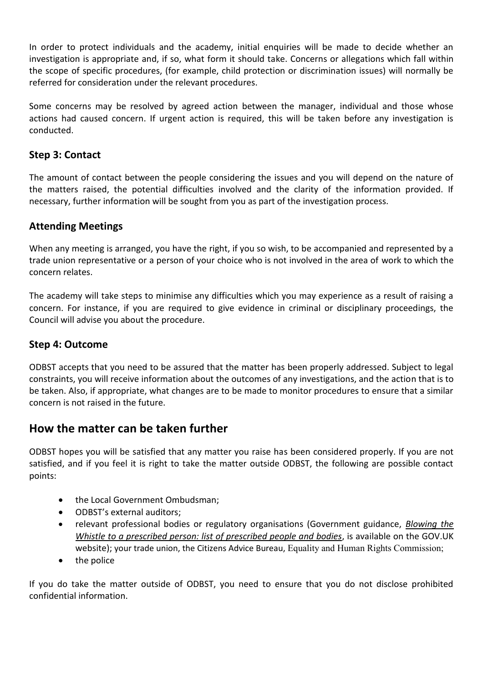In order to protect individuals and the academy, initial enquiries will be made to decide whether an investigation is appropriate and, if so, what form it should take. Concerns or allegations which fall within the scope of specific procedures, (for example, child protection or discrimination issues) will normally be referred for consideration under the relevant procedures.

Some concerns may be resolved by agreed action between the manager, individual and those whose actions had caused concern. If urgent action is required, this will be taken before any investigation is conducted.

## **Step 3: Contact**

The amount of contact between the people considering the issues and you will depend on the nature of the matters raised, the potential difficulties involved and the clarity of the information provided. If necessary, further information will be sought from you as part of the investigation process.

## **Attending Meetings**

When any meeting is arranged, you have the right, if you so wish, to be accompanied and represented by a trade union representative or a person of your choice who is not involved in the area of work to which the concern relates.

The academy will take steps to minimise any difficulties which you may experience as a result of raising a concern. For instance, if you are required to give evidence in criminal or disciplinary proceedings, the Council will advise you about the procedure.

### **Step 4: Outcome**

ODBST accepts that you need to be assured that the matter has been properly addressed. Subject to legal constraints, you will receive information about the outcomes of any investigations, and the action that is to be taken. Also, if appropriate, what changes are to be made to monitor procedures to ensure that a similar concern is not raised in the future.

## **How the matter can be taken further**

ODBST hopes you will be satisfied that any matter you raise has been considered properly. If you are not satisfied, and if you feel it is right to take the matter outside ODBST, the following are possible contact points:

- the Local Government Ombudsman;
- ODBST's external auditors;
- relevant professional bodies or regulatory organisations (Government guidance, *[Blowing the](https://www.gov.uk/government/uploads/system/uploads/attachment_data/file/183340/11-641-blowing-the-whistle-to-a-prescribed-person.pdf)  [Whistle to a prescribed person: list of prescribed people and bodies](https://www.gov.uk/government/uploads/system/uploads/attachment_data/file/183340/11-641-blowing-the-whistle-to-a-prescribed-person.pdf)*, is available on the GOV.UK website); your trade union, the Citizens Advice Bureau, Equality and Human Rights Commission;
- the police

If you do take the matter outside of ODBST, you need to ensure that you do not disclose prohibited confidential information.